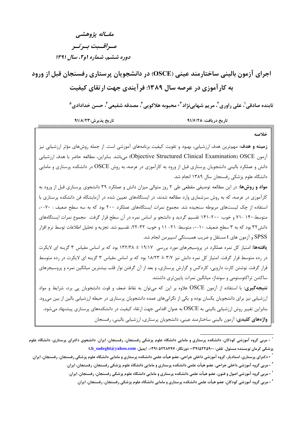## مقــاله پژوهشي مسراقسيت بسرتسر دوره ششم، شماره او ۲، سال ۱۳۹۱

اجرای آزمون بالینی ساختارمند عینی (OSCE) در دانشجویان پرستاری رفسنجان قبل از ورود به کارآموزی در عرصه سال ۱۳۸۹: فرآیندی چهت ارتقای کیفیت

تابنده صادقي'، علي راوري'، مريم شهابينژاد''، محبوبه هلاكويي 'ْ، مصدقه شفيعي 'ْ، حسن خدادادي <sup>۵</sup>

تاريخ پذيرش:٩١/٨/٢٣ تاريخ دريافت: ٩١/٦/٢٨

خلاصه **زمینه و هدف:** مهم ترین هدف ارزشیابی، بهبود و تقویت کیفیت برنامههای آموزشی است. از جمله روشهای مؤثر ارزشیابی نیز آزمون Objective Structured Clinical Examination) OSCE) مىباشد. بنابراين، مطالعه حاضر با هدف ارزشيابي دانش و عملکرد بالینی دانشجویان پرستاری قبل از ورود به کارآموزی در عرصه، به روش OSCE در دانشکده پرستاری و مامایی دانشگاه علوم پزشکی رفسنجان سال ۱۳۸۹ انجام شد. مواد و روشها: در این مطالعه توصیفی مقطعی طی ۲ روز متوالی میزان دانش و عملکرد ۳۹ دانشجوی پرستاری قبل از ورود به کارآموزی در عرصه، که به روش سرشماری وارد مطالعه شدند، در ایستگاههای تعیین شده در آزمایشگاه فن دانشکده پرستاری با استفاده از چک لیستهای مربوطه سنجیده شد. مجموع نمرات ایستگاههای عملکرد ۲۰۰ بود که به سه سطح ضعیف : ۷۰-۰، متوسط:۱۴۰ -۷۱ و خوب: ۲۰۰-۱۴۱ تقسیم گردید و دانشجو بر اساس نمره در آن سطح قرار گرفت. مجموع نمرات ایستگاههای دانش٣٢ بود كه به ٣ سطح ضعيف: ١٠-٠، متوسط: ٢١- ١١ و خوب: ٣٢-٢٢، تقسيم شد. تجزيه و تحليل اطلاعات توسط نرم افزار SPSS و آزمون های t مستقل و ضریب همبستگی اسپیرمن انجام شد. **یافتهها:** امتیاز کل نمره عملکرد در پروسیجرهای مورد بررسی ۱۹/۱۷ ± ۱۳۲/۳۸ بود که بر اساس مقیاس ۳ گزینه ای لایکرت در رده متوسط قرار گرفت. امتیاز کل نمره دانش نیز ۳/۷ ± ۱۸/۲۳ بود که بر اساس مقیاس ۳ گزینه ای لایکرت در رده متوسط قرار گرفت. نوشتن کارت دارویی، کاردکس و گزارش پرستاری، و بعد از آن گرفتن نوار قلب بیشترین میانگین نمره و پروسیجرهای ساکشن تراکئوستومی و سونداژ، میانگین نمرات پایینتری داشتند. نتیجهگیری: با استفاده از آزمون OSCE علاوه بر این که میتوان به نقاط ضعف و قوت دانشجویان پی برد، شرایط و مواد ارزشیابی نیز برای دانشجویان یکسان بوده و یکی از نگرانیهای عمده دانشجویان پرستاری در حیطه ارزشیابی بالین از بین می ود. بنابراین تغییر روش ارزشیابی بالینی به OSCE به عنوان اقدامی جهت ارتقاء کیفیت در دانشکدههای پرستاری پیشنهاد می شود. واژههای کلیدی: آزمون بالینی ساختارمند عینی، دانشجویان پرستاری، ارزشیابی بالینی، رفسنجان

<sup>&</sup>lt;sup>۱</sup> - مربی گروه آموزشی کودکان، دانشکده پرستاری و مامایی دانشگاه علوم پزشکی رفسنجان، رفسنجان، ایران. دانشجوی دکترای پرستاری، دانشگاه علوم یز شکی کرمان نویسنده مسئول. تلفن: ۰۰۳۹۱۵۲۲۵۹۰۰ دورنگار: ۰۳۹۱۵۲۲۸۴۹۷، ایمیل: t.b\_sadeghi@yahoo.com

<sup>-</sup> دکترای پرستاری، استادیار، گروه آموزشی داخلی جراحی، عضو هیأت علمی دانشکده پرستاری و مامایی دانشگاه علوم پزشکی رفسنجان، رفسنجان، ایران.

<sup>&</sup>lt;sup>۲</sup> - مربی گروه آموزشی داخلی جراحی، عضو هیأت علمی دانشکده پرستاری و مامایی دانشگاه علوم پزشکی رفسنجان، رفسنجان، ایران.

<sup>&#</sup>x27; - مربی گروه آموزشی اصول و فنون، عضو هیأت علمی دانشکده پرستاری و مامایی دانشگاه علوم پزشکی رفسنجان، رفسنجان، ایران.

<sup>&</sup>lt;sup>ء</sup> - مربی گروه آموزشی کودکان، عضو هیأت علمی دانشکده پرستاری و مامایی دانشگاه علوم پزشکی رفسنجان، رفسنجان، ایران.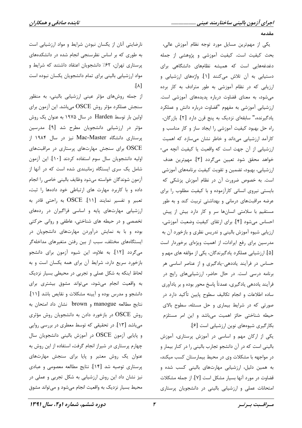مقدمه

یکی از مهمترین مسایل مورد توجه نظام آموزش عالی، بحث کیفیت است. کیفیت آموزشی و پژوهشی از جمله دغدغههایی است که همیشه نظامهای دانشگاهی برای دستیابی به آن تلاش میکنند [۱]. واژههای ارزشیابی و ارزیابی که در نظام آموزشی به طور مترادف به کار برده می شود، به معنای قضاوت درباره پدیدههای آموزشی است. ارزشیابی آموزشی به مفهوم "قضاوت درباره دانش و عملکرد يادگيرنده،" سابقهاي نزديک به پنج قرن دارد [۲]. بازرگان، راه حل بهبود کیفیت آموزشی را ایجاد ساز و کار مناسب و کارآمد ارزشیابی میداند و خاطر نشان میسازد که اهمیت ارزشیابی از آن جهت است که واقعیت یا کیفیت آنچه می-خواهد محقق شود تعيين مي گردد [۳]. مهمترين هدف ارزشیابی، بهبود، تضمین و تقویت کیفیت برنامههای آموزشی است. به خصوص ضرورت آن در نظام آموزش پزشکی که بایستی نیروی انسانی کارآزموده و با کیفیت مطلوب را برای عرضه مراقبتهای درمانی و بهداشتی تربیت کند و به طور مستقیم با سلامتی انسانها سر و کار دارد بیش از پیش احساس میشود [۴]. برای ارتقای کیفیت وضعیت آموزشی، ارزیابی شیوه آموزش بالینی و تدریس نظری و بازخورد آن به مدرسین برای رفع ایرادات، از اهمیت ویژهای برخوردار است [۵]. ارزشیابی عملکرد یادگیرندگان، یکی از مؤلفه های مهم و حساس در فرآیند یاددهی-یادگیری و از عناصر اساسی هر برنامه درسی است. در حال حاضر، ارزشیابیهای رایج در فرآيند ياددهي يادگيري، عمدتاً پاسخ محور بوده و بر يادآوري ساده اطلاعات و انجام تکالیف سطوح پایین تأکید دارد در صورتی که در شرایط بیماری و حل مسئله، سطوح بالای حیطه شناختی حائز اهمیت می باشد و این امر مستلزم بكار گيري شيوههاي نوين ارزشيابي است [۶].

یکی از ارکان مهم و اساسی در آموزش پرستاری، آموزش بالینی است که در آن دانشجو تجارب بالینی را در کنار بیمار و در مواجهه با مشکلات وی در محیط بیمارستان کسب میکند، به همین دلیل، ارزشیابی مهارتهای بالینی کسب شده و قضاوت در مورد آنها بسیار مشکل است [۷]. از جمله مشکلات امتحانات عملی و ارزشیابی بالینی در دانشجویان پرستاری

نارضایتی آنان از یکسان نبودن شرایط و مواد ارزشیابی است به طوری که بر اساس نظرسنجی انجام شده در دانشکدههای پرستاری تهران، ۶۲٪ دانشجویان اعتقاد داشتند که شرایط و مواد ارزشیابی بالینی برای تمام دانشجویان یکسان نبوده است  $\Lambda$ ].

از جمله روشهای مؤثر عینی ارزشیابی بالینی، به منظور سنجش عملكرد مؤثر روش  $\mathrm{OSCE}$  مىباشد. اين آزمون براي اولین بار توسط Harden در سال ۱۹۷۵ به عنوان یک روش مؤثر در ارزشیابی دانشجویان مطرح شد [۹]. مدرسین پرستاری دانشگاه Mac-Master نیز در سال ۱۹۸۴ از OSCE برای سنجش مهارتهای پرستاری در مراقبتهای اوليه دانشجويان سال سوم استفاده كردند [١٠]. اين آزمون شامل یک سری ایستگاه زمانبندی شده است که در آنها از أزمون شوندگان خواسته مىشود وظايف باليني خاصى را انجام داده و با کاربرد مهارت های ارتباطی خود دادهها را ثبت، تعبير و تفسير نمايند [١١]. OSCE به راحتى قادر به ارزشیابی مهارتهای پایه و اساسی فراگیران در ردههای تخصصی و در حیطه های شناختی، عاطفی و روانی حرکتی بوده و با به نمایش درآوردن مهارتهای دانشجویان در ایستگاههای مختلف، سبب از بین رفتن متغیرهای مداخلهگر میگردد [۱۲]. به علاوه، این شیوه آزمون برای دانشجو بازخورد سريع دارد، شرايط آن براي همه يكسان است و به لحاظ اینکه به شکل عملی و تجربی در محیطی بسیار نزدیک به واقعیت انجام میشود، میتواند مشوق بیشتری برای دانشجو و مدرس بوده و آیینه مشکلات و نقایص باشد [۱۱]. نتايج مطالعه manogue و brown نشان داد امتحان به روش OSCE در بازخورد دادن به دانشجویان روش مؤثری میباشد [۱۳]. در تحقیقی که توسط معطری در بررسی روایی و پایایی آزمون OSCE در آموزش بالینی دانشجویان سال چهارم پرستاری در شیراز انجام گرفت، استفاده از این روش به عنوان یک روش معتبر و پایا برای سنجش مهارتهای پرستاری توصیه شد [۱۴]. نتایج مطالعه معصومی و عبادی نیز نشان داد این روش ارزشیابی به شکل تجربی و عملی در محیط بسیار نزدیک به واقعیت انجام می شود و می تواند مشوق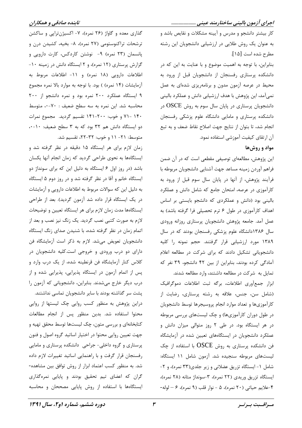گذاری معده و گاواژ (۲۶ نمره)، ۷- اکسیژن تراپی و ساکشن ترشحات تراکنوستومی (۲۷ نمره)، ۸- بخیه، کشیدن درن و پانسمان (٢٣ نمره) ٩- نوشتن كاردكس، كارت دارويي و گزارش پرستاری (١٢ نمره)، و ٢ ايستگاه دانش در زمينه ١٠-اطلاعات دارویی (۱۸ نمره) و ۱۱- اطلاعات مربوط به آزمایشات (۱۴ نمره) ) بود. با توجه به موارد بالا نمره مجموع ۹ ایستگاه عملکرد ۲۰۰ نمره بود و نمره دانشجو از ۲۰۰ محاسبه شد. این نمره به سه سطح ضعیف : ٧٠-٠، متوسط ۱۴۰ -۷۱ و خوب: ۲۰۰-۱۴۱ تقسیم گردید. مجموع نمرات دو ایستگاه دانش هم ٣٢ بود که به ٣ سطح ضعیف: ١٠-٠، متوسط: ٢١- ١١ و خوب: ٣٢-٢٢، تقسيم شد.

زمان لازم برای هر ایستگاه ۱۵ دقیقه در نظر گرفته شد و ایستگاهها به نحوی طراحی گردید که زمان انجام آنها یکسان باشد (در روز اول ۶ ایستگاه به دلیل این که برای سونداژ دو ایستگاه خانم و آقا در نظر گرفته شد و در روز دوم ۵ ایستگاه به دلیل این که سوالات مربوط به اطلاعات دارویی و آزمایشات در یک ایستگاه قرار داده شد آزمون گردید). بعد از طراحی ایستگاهها مدت زمان لازم برای هر ایستگاه تعیین و توضیحات لازم به صورت کتبی نصب گردید. یک زنگ نیز نصب و بعد از اتمام زمان در نظر گرفته شده، با شنیدن صدای زنگ ایستگاه دانشجویان تعویض می شد. لازم به ذکر است آزمایشگاه فن دارای دو درب ورودی و خروجی است.کلیه دانشجویان در كلاس كنار آزمايشگاه فن قرنطينه شده، از يک درب وارد و پس از اتمام آزمون در ایستگاه پذیرایی، پذیرایی شده و از درب دیگر خارج میشدند. بنابراین، دانشجویانی که آزمون را پشت سر گذاشته بودند با سایر دانشجویان تماسی نداشتند. دراین پژوهش به منظور کسب روایی چک لیستها از روایی محتوا استفاده شد. بدین منظور پس از انجام مطالعات کتابخانهای و بررسی متون، چک لیستها توسط محقق تهیه و جهت تعیین روایی محتوا در اختیار اساتید گروه اصول و فنون پرستاری و گروه داخلی- جراحی دانشکده پرستاری و مامایی رفسنجان قرار گرفت و با راهنمایی اساتید تغییرات لازم داده شد. به منظور کسب اعتماد ابزار از روش توافق بین مشاهده-گران که اعضای تیم تحقیق بودند و پایایی نمرهگذاری ایستگاهها با استفاده از روش پایایی مصححان و محاسبه اجرای آزمون بالینی ساختارمند عینی ....................

کار بیشتر دانشجو و مدرس و آیینه مشکلات و نقایص باشد و به عنوان یک روش طلایی در ارزشیابی دانشجویان این رشته مطرح شده است [١۵].

بنابراین، با توجه به اهمیت موضوع و با عنایت به این که در دانشکده پرستاری رفسنجان از دانشجویان قبل از ورود به محیط در عرصه آزمون مدون و برنامهریزی شدهای به عمل نمیآمد، این پژوهش با هدف ارزشیابی دانش و عملکرد بالینی دانشجویان پرستاری در پایان سال سوم به روش OSCE در دانشکده پرستاری و مامایی دانشگاه علوم پزشکی رفسنجان انجام شد، تا بتوان از نتايج جهت اصلاح نقاط ضعف و به تبع آن ارتقای کیفیت آموزشی استفاده نمود.

### مواد و روشها

این پژوهش، مطالعهای توصیفی مقطعی است که در آن ضمن فراهم آوردن زمينه مساعد جهت آشنايي دانشجويان مربوطه با فرآیند پژوهش، از آنها در پایان سال سوم قبل از ورود به کارآموزی در عرصه، امتحان جامع که شامل دانش و عملکرد بالینی بود (دانش و عملکردی که دانشجو بایستی بر اساس اهداف كارآموزي در طول ۶ ترم تحصيلي فرا گرفته باشد) به عمل آمد. جامعه پژوهش دانشجویان پرستاری روزانه ورودی سال ۱۳۸۶دانشگاه علوم پزشکی رفسنجان بودند که در سال ١٣٨٩ مورد ارزشيابي قرار گرفتند. حجم نمونه را كليه دانشجویانی تشکیل دادند که برای شرکت در مطالعه اعلام آمادگی کرده بودند، بنابراین از بین ۴۲ دانشجو، ۳۹ نفر که تمایل به شرکت در مطالعه داشتند، وارد مطالعه شدند.

ابزار جمعآوري اطلاعات، بركه ثبت اطلاعات دموكرافيك (شامل سن، جنس، علاقه به رشته پرستاری، رضایت از كارآموزيها و تعداد موارد انجام پروسيجرها توسط دانشجويان در طول دوران کارآموزیها) و چک لیستهای بررسی مربوطه در هر ایستگاه بود. در طی ۲ روز متوالی میزان دانش و عملکرد دانشجویان در ایستگاههای تعیین شده در آزمایشگاه فن دانشکده پرستاری به روش OSCE با استفاده از چک لیستهای مربوطه سنجیده شد. آزمون شامل ۱۱ ایستگاه: شامل ١- ايستگاه تزريق عضلاني و زير جلدي(٣٣ نمره)، و ٢-ایستگاه تزریق وریدی (۲۲ نمره)، ۳-سونداژ مثانه (۲۸ نمره)، ۴-علايم حياتي (٢٠ نمره)، ۵ - نوار قلب (٩ نمره)، ۶ - لوله-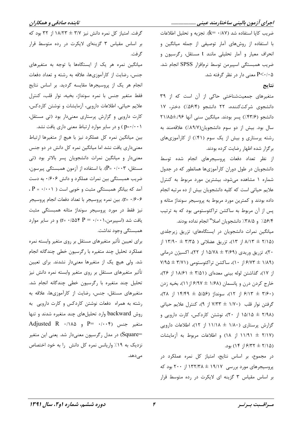اجرای آزمون بالینی ساختارمند عینی ....................

ضريب كايا استفاده شد (k= ٠/٨٧). تجزيه و تحليل اطلاعات با استفاده از روشهای آمار توصیفی از جمله میانگین و انحراف معیار و آمار تحلیلی مانند t مستقل، رگرسیون و ضريب همبستكي اسپيرمن توسط نرمافزار SPSS انجام شد. ۰/۰۵-P<۰/۰ معنی دار در نظر گرفته شد.

#### نتايج

متغیرهای جمعیتشناختی حاکی از آن است که از ٣٩ دانشجوی شرکتکننده، ۲۲ دانشجو (۵۶/۴٪) دختر، ۱۷ دانشجو (٣٣/٤٪) پسر بودند. ميانگين سني آنها ٢١/٨٥±٢١/٨ سال بود. بیش از دو سوم دانشجویان(۸۹/۷٪) علاقهمند به رشته پرستاری و بیش از یک سوم (۴۱٪) از کارآموزیهای برگزار شده اظهار رضایت کرده بودند.

از نظر تعداد دفعات پروسیجرهای انجام شده توسط دانشجویان در طول دوران کارآموزیها همانطور که در جدول شماره ۱ مشاهده می شود، بیشترین مورد مربوط به کنترل علایم حیاتی است که کلیه دانشجویان بیش از ده مرتبه انجام داده بودند و کمترین مورد مربوط به پروسیجر سونداژ مثانه و پس از آن مربوط به ساکشن تراکئوستومی بود که به ترتیب ۵۶/۴/ و ۳۸/۵٪ دانشجویان اصلا" انجام نداده بودند.

میانگین نمرات دانشجویان در ایستگاههای: تزریق زیرجلدی ۸/۱۳ ± ۱۳/۱۸ از ۱۳)، تزریق عضلانی ( ۱۳/۵۰ ± ۱۳/۹۰ از ۲۰)، تزریق وریدی (۳/۶۹ ± ۱۵/۷۸ از ۲۲)، اکسیژن درمانی / ۶/۷۳ ± ۶/۷۳ از ۱۰)، ساکشن تراکئوستومی (۷/۱۱ ± ۷/۹۵ از ۱۷)، گذاشتن لوله بینی معدهای (۳/۵۱ ± ۱۸/۶۱ از ۲۶)، خارج کردن درن و پانسمان (۱/۶۸ ± ۶/۹۷ از ۱۱)، بخیه زدن ۰(۲۶۰ = ۶/۱۳ از ۱۲)، سونداژ (۵/۵۶ = ۱۴/۴۹ از ۲۸)، گرفتن نوار قلب (١/٧٠ ± ٧/٣٣ از ٩)، كنترل علايم حياتي (۱۵/۱۵ ± ۱۵/۱۵ از ۲۰)، نوشتن کاردکس، کارت دارویی و گزارش پرستاری (۱/۸۰ ± ۱۱/۱۸ از ۱۲)، اطلاعات دارویی (۲/۱۷ ± ۱۱/۹۱ از ۱۸) و اطلاعات مربوط به آزمایشات (۱۵ /۲۲  $\pm$  ۶/۳۲ از ۱۴) بود.

در مجموع، بر اساس نتايج، امتياز كل نمره عملكرد در پروسیجرهای مورد بررسی ۱۹/۱۷ ± ۱۳۲/۳۸ از ۲۰۰ بود که بر اساس مقیاس ۳ گزینه ای لایکرت در رده متوسط قرار

گرفت. امتیاز کل نمره دانش نیز ۳/۷ ± ۱۸/۲۳ از ۳۲ بود که بر اساس مقیاس ۳ گزینهای لایکرت در رده متوسط قرار گر فت.

میانگین نمره هر یک از ایستگاهها با توجه به متغیرهای جنس، رضایت از کارآموزیها، علاقه به رشته و تعداد دفعات انجام هر یک از پروسیجرها مقایسه گردید. بر اساس نتایج فقط متغير جنس با نمره سونداژ، بخيه، نوار قلب، كنترل علایم حیاتی، اطلاعات دارویی، آزمایشات و نوشتن کاردکس، کارت دارویی و گزارش پرستاری معنیدار بود (تی مستقل،

p=۰/۰۰۱ ) و در سایر موارد ارتباط معنی داری یافت نشد. بین میانگین نمره کل عملکرد نیز با هیچ از متغیرها ارتباط معنیداری یافت نشد اما میانگین نمره کل دانش در دو جنس معنیدار و میانگین نمرات دانشجویان پسر بالاتر بود (تی مستقل، ۰/۰۰۳). با استفاده از آزمون همبستگی پیرسون، ضریب همبستگی بین نمرات عملکرد و دانش ۰/۶۰۶ به دست  $\cdot P = \cdot / \cdot \cdot$ اً آمد که بیانگر همبستگی مثبت و خوبی است £ · /> +E). بين نمره پروسيجر با تعداد دفعات انجام پروسيجر نيز فقط در مورد پروسيجر سونداژ مثانه همبستگي مثبت یافت شد (اسپیرمن، ۱۰۰۱ + P = ۰/۵۵۴) و در سایر موارد همبستگی وجود نداشت.

برای تعیین تأثیر متغیرهای مستقل بر روی متغیر وابسته نمره عملكرد تحليل چند متغيره با رگرسيون خطى چندگانه انجام شد. ولی هیچ یک از متغیرها معنیدار نشدند. برای تعیین تأثیر متغیرهای مستقل بر روی متغیر وابسته نمره دانش نیز تحلیل چند متغیره با رگرسیون خطی چندگانه انجام شد. متغیرهای مستقل، جنس، رضایت از کارآموزیها، علاقه به رشته به همراه دفعات نوشتن کاردکس و کارت دارویی به روش backward وارد تحلیلهای چند متغیره شدند و تنها Adjusted R  $\cdot$  1140  $P = \cdot$  1.044  $\cdot$  7  $P = \cdot$  1.044  $\cdot$  7  $\cdot$  7.144  $\cdot$ =Square) در مدل رگرسیون معنیدار شد. یعنی این متغیر نزدیک به ۱۹٪ واریانس نمره کل دانش را به خود اختصاص مے دھد.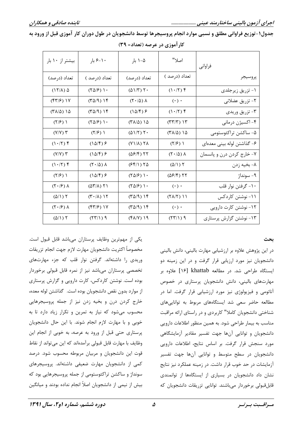جدول١-توزيع فراواني مطلق و نسبي موارد انجام پروسيجرها توسط دانشجويان در طول دوران كار آموزي قبل از ورود به

| بیشتر از ۱۰ بار                            | ۶-۱۰ بار                                   | ۰۵–۱ بار                                   | اصلا"                                                | فراواني                    |
|--------------------------------------------|--------------------------------------------|--------------------------------------------|------------------------------------------------------|----------------------------|
| تعداد (درصد)                               | تعداد (درصد )                              | تعداد (درصد)                               | تعداد (درصد )                                        | پروسيجر                    |
| $(17/\lambda)$ $\Delta$                    | (10/5)                                     | $(\Delta)/\Gamma$ ) ۲۰                     | $(1.7)$ $\uparrow$                                   | ۱- تزریق زیرجلدی           |
| $(\frac{8\pi}{5})$ ) $\gamma$              | $(2\pi)$                                   | $(\mathbf{r} \cdot \mathbf{r}) \mathbf{v}$ | $(\cdot)$ .                                          | ٢- تزريق عضلاني            |
| $(T\lambda/\Delta)$ 12                     | $(2\pi)$                                   | $(1\Delta/\mathfrak{f})$ ۶                 | (1.77)                                               | ۳- تزریق وریدی             |
| (1/5)                                      | (10/5)                                     | ۱۵ (۱۸/۵)                                  | $(\uparrow \uparrow / \uparrow)$ $\uparrow \uparrow$ | ۴- اکسیژن درمانی           |
| $(Y/Y)$ $Y$                                | $(\frac{7}{5})$                            | $(01/7)$ T.                                | $(\Upsilon \wedge \Delta)$ 12                        | ۵- ساكشن تراكئوستومى       |
| (1.77)                                     | $(1\Delta/\mathfrak{F})$ &                 | $(Y \setminus \Lambda) Y \Lambda$          | (1/5)                                                | ۶- گذاشتن لوله بینی معدهای |
| $(Y/Y)$ $Y$                                | $(1\Delta/\mathfrak{F})$ $\mathfrak{S}$    | ۲۲ (۵۶/۴)                                  | $(\mathbf{r} \cdot \mathbf{r}) \mathbf{v}$           | ۷- خارج کردن درن و پانسمان |
| $(1.7)$ f                                  | $(\mathbf{r} \cdot \mathbf{r}) \mathbf{v}$ | $(Ff/\mathcal{N})$ $Y\Delta$               | $(\Delta/\Gamma)$                                    | ٨- بخيه زدن                |
| (1/5)                                      | $(1\Delta/\mathfrak{F})$ &                 | (10/5)                                     | ۲۲ (۵۶/۴)                                            | ۹- سونداژ                  |
| $(\mathbf{Y} \cdot \mathbf{S}) \mathbf{A}$ | $(\Delta \Upsilon/\Lambda)$ $\Upsilon$     | (10/5)                                     | $(\cdot)\ \cdot$                                     | ۱۰- گرفتن نوار قلب         |
| $(\Delta/\Gamma)$                          | $(T \cdot / \Lambda)$ 17                   | $(2\pi)$                                   | $(Y \Lambda / Y)$ ) )                                | ۱۱- نوشتن کاردکس           |
| $(\mathbf{Y} \cdot \mathbf{S}) \mathbf{A}$ | $(\frac{8}{7})$ ) ) $\gamma$               | $(2\pi)$                                   | $(\cdot)\cdot$                                       | ۱۲- نوشتن کارت دارویی      |
| $(\Delta/\Gamma)$                          | f(T Y)                                     | $(6\lambda/V)$ 19                          | (55)                                                 | ۱۳- نوشتن گزارش پرستاری    |

| کار آموزی در عرصه (تعداد= ۳۹) |  |  |
|-------------------------------|--|--|
|                               |  |  |

بحث

در این پژوهش علاوه بر ارزشیابی مهارت بالینی، دانش بالینی دانشجویان نیز مورد ارزیابی قرار گرفت و در این زمینه دو ایستگاه طراحی شد. در مطالعه khattab [۱۶] علاوه بر مهارتهای بالینی، دانش دانشجویان پرستاری در خصوص آناتومی و فیزیولوژی نیز مورد ارزشیابی قرار گرفت. اما در مطالعه حاضر سعی شد ایستگاههای مربوط به تواناییهای شناختی دانشجویان کاملا" کاربردی و در راستای ارائه مراقبت مناسب به بیمار طراحی شود. به همین منظور اطلاعات دارویی دانشجویان و توانایی آنها جهت تفسیر مقادیر آزمایشگاهی مورد سنجش قرار گرفت. بر اساس نتايج، اطلاعات دارويي دانشجویان در سطح متوسط و توانایی آنها جهت تفسیر أزمايشات در حد خوب قرار داشت. در زمينه عملكرد نيز نتايج نشان داد دانشجویان در بسیاری از ایستگاهها از توانمندی قابلقبولی برخوردار میباشند. توانایی تزریقات دانشجویان که

یکی از مهمترین وظایف پرستاران میباشد قابل قبول است. مخصوصأ اكثريت دانشجويان مهارت لازم جهت انجام تزريقات وریدی را داشتهاند. گرفتن نوار قلب که جزء مهارتهای تخصصی پرستاران میباشد نیز از نمره قابل قبولی برخوردار بوده است. نوشتن کاردکس، کارت دارویی و گزارش پرستاری از موارد بدون نقص دانشجويان بوده است. گذاشتن لوله معده، خارج کردن درن و بخیه زدن نیز از جمله پروسیجرهایی محسوب میشود که نیاز به تمرین و تکرار زیاد دارد تا به خوبی و با مهارت لازم انجام شوند. با این حال دانشجویان پرستاری حتی قبل از ورود به عرصه، به خوبی از انجام این وظایف با مهارت قابل قبولی برآمدهاند که این میتواند از نقاط قوت این دانشجویان و مربیان مربوطه محسوب شود. درصد كمي از دانشجويان مهارت ضعيفي داشتهاند. پروسيجرهاي سونداژ و ساکشن تراکئوستومی از جمله پروسیجرهایی بود که بیش از نیمی از دانشجویان اصلاً انجام نداده بودند و میانگین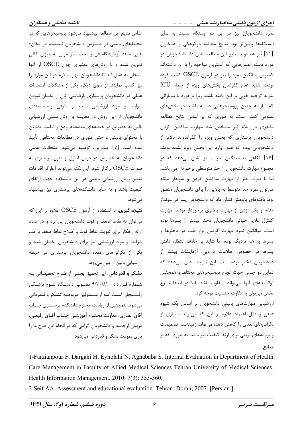اساس نتایج این مطالعه پیشنهاد میشود پروسیجرهایی که در محیطهای بالینی در دسترس دانشجویان نیستند، در مکان-هایی مانند آزمایشگاه فن و تحت نظر مربی به میزان کافی تمرین شده و با روشهای معتبری چون OSCE از آنها امتحان به عمل آید تا دانشجویان مهارت لازم در این موارد را نیز کسب نمایند. از سوی دیگر، یکی از مشکلات امتحانات عملی در دانشجویان پرستاری نارضایتی آنان از یکسان نبودن شرایط و مواد ارزشیابی است از طرفی رضایتمندی دانشجویان از این روش در مقایسه با روش سنتی ارزشیابی بالین به خصوص در حیطههای منصفانه بودن و تناسب داشتن با محتوای بالینی و حتی تئوری در مطالعات مختلفی تأیید شده است [Y]. بنابراین، توصیه می شود امتحانات عملی دانشجویان به خصوص در درس اصول و فنون پرستاری به صورت OSCE برگزار شود. این نکته میتواند آغازگر اقدامات تغییر روش ارزشیابی بالینی در این دانشکده جهت ارتقای کیفیت باشد و به سایر دانشکدههای پرستاری نیز پیشنهاد مے شود.

نتیجهگیری: با استفاده از آزمون OSCE علاوه بر این که می توان به نقاط ضعف و قوت دانشجویان پی برد و در صدد ارائه راهكار براي تقويت نقاط قوت و اصلاح نقاط ضعف برآمد، شرایط و مواد ارزشیابی نیز برای دانشجویان یکسان شده و یکی از نگرانیهای عمده دانشجویان پرستاری در حیطه ارزشیابی بالین از بین میرود. تشکر و قدردانی: این تحقیق بخشی از طـرح تحقیقـاتی بـه

شهاره قرارداد ۹/۲۰/۸۲۰ مصوب دانشگاه علوم پزشکی رفسـنجان اسـت كـه از مسـئولين مربوطـه تشـكر و قـدردانى میشود. همچنین از ریاست محترم دانشکده پرسـتاری جنـاب آقای انصاری، معاونت محتـرم آموزشــی جنــاب آقــای رفیعــی، مربیان ارجمند و دانشجویان گرامی که در انجام این طرح ما را یاری نمودند تشکر و قدردانی میشود.

نمره دانشجویان نیز در این دو ایستگاه نسبت به سایر ایستگاهها پایینتر بود. نتایج مطالعه دوکوهکی و همکاران [١١] نيز همسو با نتايج اين مطالعه نشان داد دانشجويان در مورد دستورالعملهايي كه كمترين مواجهه را با آن داشتهاند کمترین میانگین نمره را نیز در آزمون OSCE کسب کرده بودند. شاید عدم گذراندن بخشهای ویژه از جمله ICU بتواند توجيه خوبي بر اين يافته باشد. زيرا برخورد با بيماراني که نیاز به چنین پروسیجرهایی داشته باشند در بخشهای عمومی کمتر است، به طوری که بر اساس نتایج مطالعه مظفری در ایلام نیز مشخص شد مهارت ساکشن کردن دانشجویان پرستاری که بخش ویژه را گذراندهاند بالاتر از دانشجویانی بوده که هنوز وارد این بخش ویژه نشده بودند [۱۷]. نگاهی به میانگین نمرات نیز نشان میدهد که در مجموع مهارت دانشجویان از حد متوسطی برخوردار می باشد. اما با صرف نظر از مهارت ساکشن کردن و سونداژ مثانه می توان نمره حد متوسط به بالایی را برای دانشجویان متصور بود. یافتههای پژوهش نشان داد که دانشجویان پسر در سونداژ مثانه و بخیه زدن از مهارت بالاتری برخوردار بودند. مهارت كنترل علايم حياتى دانشجويان دختر بيشتر از پسرها بوده است. میانگین نمره مهارت گرفتن نوار قلب در دخترها و پسرها به هم نزدیک بوده اما شاید بر خلاف انتظار، دانش پسرها در خصوص اطلاعات دارویی، آزمایشات بیشتر از دانشجویان دختر بوده است. این نتیجه نشان میدهد که تمایل دو جنس جهت انجام پروسیجرهای مختلف و همچنین توانمندهای آنها میتواند متفاوت باشد. لذا در انتخاب نوع بخش می توان به تفاوت جنسیت توجه کرد. ارزشیابی مهارتهای بالینی دانشجویان بر اساس یک شیوه

عینی و قابل اعتماد علاوه بر این که میتواند بسیاری از نگرانیهای بعدی را کاهش دهد، میتواند زمینهساز تصمیمات و برنامههای نوینی برای ارتقا کیفیت نیز باشد. به طوری که بر منابع

1-Farzianpour F, Dargahi H, Eynolahi N, Aghababa S. Internal Evaluation in Department of Health Care Management in Faculty of Allied Medical Sciences Tehran University of Medical Sciences. Health Information Management. 2010; 7(3): 353-360.

2-Seif AA. Assessment and educational evaluation. Tehran: Doran; 2007. [Persian]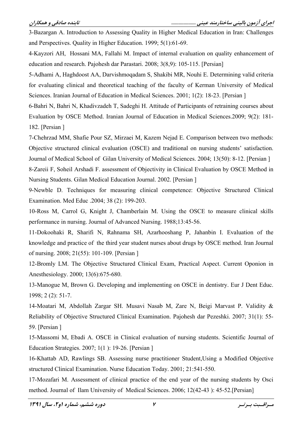3-Bazargan A. Introduction to Assessing Quality in Higher Medical Education in Iran: Challenges and Perspectives. Quality in Higher Education. 1999; 5(1):61-69.

4-Kayzori AH, Hossani MA, Fallahi M. Impact of internal evaluation on quality enhancement of education and research. Pajohesh dar Parastari. 2008; 3(8,9): 105-115. [Persian]

5-Adhami A, Haghdoost AA, Darvishmoqadam S, Shakibi MR, Nouhi E. Determining valid criteria for evaluating clinical and theoretical teaching of the faculty of Kerman University of Medical Sciences. Iranian Journal of Education in Medical Sciences. 2001; 1(2): 18-23. [Persian]

6-Bahri N, Bahri N, Khadivzadeh T, Sadeghi H. Attitude of Participants of retraining courses about Evaluation by OSCE Method. Iranian Journal of Education in Medical Sciences.2009; 9(2): 181-182. [Persian]

7-Chehrzad MM, Shafie Pour SZ, Mirzaei M, Kazem Nejad E. Comparison between two methods: Objective structured clinical evaluation (OSCE) and traditional on nursing students' satisfaction. Journal of Medical School of Gilan University of Medical Sciences, 2004; 13(50): 8-12. [Persian ]

8-Zareii F, Soheil Arshadi F. assessment of Objectivity in Clinical Evaluation by OSCE Method in Nursing Students. Gilan Medical Education Journal. 2002. [Persian]

9-Newble D. Techniques for measuring clinical competence: Objective Structured Clinical Examination. Med Educ. 2004; 38 (2): 199-203.

10-Ross M, Carrol G, Knight J, Chamberlain M. Using the OSCE to measure clinical skills performance in nursing. Journal of Advanced Nursing. 1988;13:45-56.

11-Dokoohaki R, Sharifi N, Rahnama SH, Azarhooshang P, Jahanbin I. Evaluation of the knowledge and practice of the third year student nurses about drugs by OSCE method. Iran Journal of nursing. 2008; 21(55): 101-109. [Persian]

12-Bromly LM. The Objective Structured Clinical Exam, Practical Aspect. Current Oponion in Anesthesiology. 2000; 13(6):675-680.

13-Manogue M, Brown G. Developing and implementing on OSCE in dentistry. Eur J Dent Educ. 1998; 2 (2): 51-7.

14-Moatari M, Abdollah Zargar SH. Musavi Nasab M, Zare N, Beigi Marvast P. Validity & Reliability of Objective Structured Clinical Examination. Pajohesh dar Pezeshki. 2007; 31(1): 55-59. [Persian]

15-Massomi M, Ebadi A, OSCE in Clinical evaluation of nursing students. Scientific Journal of Education Strategies. 2007; 1(1): 19-26. [Persian ]

16-Khattab AD, Rawlings SB. Assessing nurse practitioner Student, Using a Modified Objective structured Clinical Examination. Nurse Education Today. 2001; 21:541-550.

17-Mozafari M. Assessment of clinical practice of the end year of the nursing students by Osci method. Journal of Ilam University of Medical Sciences. 2006; 12(42-43): 45-52. [Persian]

مسراقسيت بسرتسر